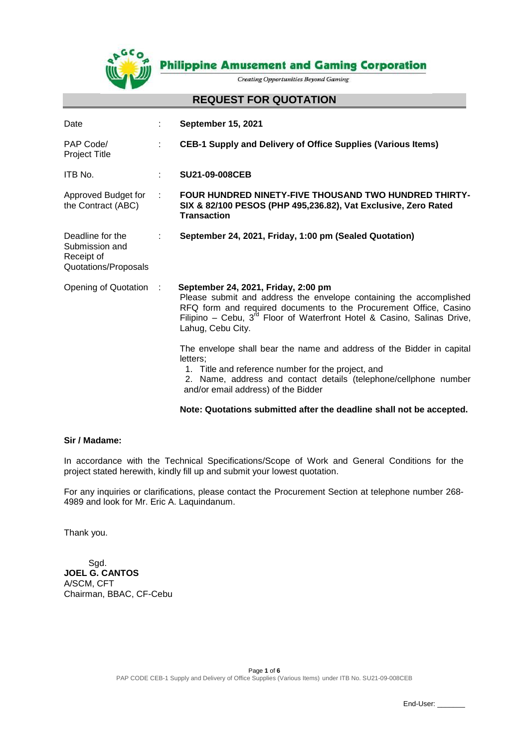

**Philippine Amusement and Gaming Corporation** 

**Creating Opportunities Beyond Gaming** 

#### **REQUEST FOR QUOTATION**

| Date                                                                     | ÷         | <b>September 15, 2021</b>                                                                                                                                                                                                                                                           |
|--------------------------------------------------------------------------|-----------|-------------------------------------------------------------------------------------------------------------------------------------------------------------------------------------------------------------------------------------------------------------------------------------|
| PAP Code/<br><b>Project Title</b>                                        | ÷         | CEB-1 Supply and Delivery of Office Supplies (Various Items)                                                                                                                                                                                                                        |
| ITB No.                                                                  | ÷         | <b>SU21-09-008CEB</b>                                                                                                                                                                                                                                                               |
| Approved Budget for<br>the Contract (ABC)                                | ÷         | <b>FOUR HUNDRED NINETY-FIVE THOUSAND TWO HUNDRED THIRTY-</b><br>SIX & 82/100 PESOS (PHP 495,236.82), Vat Exclusive, Zero Rated<br><b>Transaction</b>                                                                                                                                |
| Deadline for the<br>Submission and<br>Receipt of<br>Quotations/Proposals | ÷         | September 24, 2021, Friday, 1:00 pm (Sealed Quotation)                                                                                                                                                                                                                              |
| Opening of Quotation                                                     | $\sim$ 1. | September 24, 2021, Friday, 2:00 pm<br>Please submit and address the envelope containing the accomplished<br>RFQ form and required documents to the Procurement Office, Casino<br>Filipino – Cebu, $3^{rd}$ Floor of Waterfront Hotel & Casino, Salinas Drive,<br>Lahug, Cebu City. |
|                                                                          |           | The envelope shall bear the name and address of the Bidder in capital<br>letters:<br>1. Title and reference number for the project, and<br>2. Name, address and contact details (telephone/cellphone number<br>and/or email address) of the Bidder                                  |
|                                                                          |           |                                                                                                                                                                                                                                                                                     |

### **Note: Quotations submitted after the deadline shall not be accepted.**

### **Sir / Madame:**

In accordance with the Technical Specifications/Scope of Work and General Conditions for the project stated herewith, kindly fill up and submit your lowest quotation.

For any inquiries or clarifications, please contact the Procurement Section at telephone number 268- 4989 and look for Mr. Eric A. Laquindanum.

Thank you.

 Sgd. **JOEL G. CANTOS** A/SCM, CFT Chairman, BBAC, CF-Cebu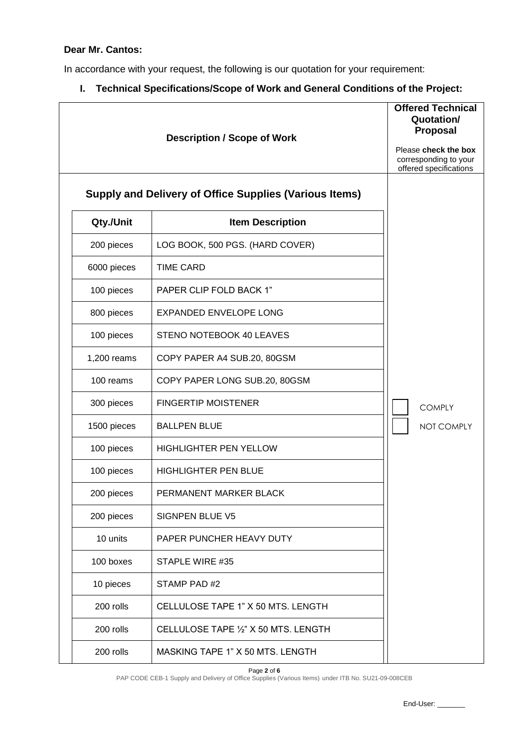# **Dear Mr. Cantos:**

In accordance with your request, the following is our quotation for your requirement:

**I. Technical Specifications/Scope of Work and General Conditions of the Project:**

|             | <b>Description / Scope of Work</b>                            | <b>Offered Technical</b><br>Quotation/<br><b>Proposal</b><br>Please check the box<br>corresponding to your<br>offered specifications |
|-------------|---------------------------------------------------------------|--------------------------------------------------------------------------------------------------------------------------------------|
|             | <b>Supply and Delivery of Office Supplies (Various Items)</b> |                                                                                                                                      |
| Qty./Unit   | <b>Item Description</b>                                       |                                                                                                                                      |
| 200 pieces  | LOG BOOK, 500 PGS. (HARD COVER)                               |                                                                                                                                      |
| 6000 pieces | <b>TIME CARD</b>                                              |                                                                                                                                      |
| 100 pieces  | PAPER CLIP FOLD BACK 1"                                       |                                                                                                                                      |
| 800 pieces  | <b>EXPANDED ENVELOPE LONG</b>                                 |                                                                                                                                      |
| 100 pieces  | STENO NOTEBOOK 40 LEAVES                                      |                                                                                                                                      |
| 1,200 reams | COPY PAPER A4 SUB.20, 80GSM                                   |                                                                                                                                      |
| 100 reams   | COPY PAPER LONG SUB.20, 80GSM                                 |                                                                                                                                      |
| 300 pieces  | <b>FINGERTIP MOISTENER</b>                                    | <b>COMPLY</b>                                                                                                                        |
| 1500 pieces | <b>BALLPEN BLUE</b>                                           | NOT COMPLY                                                                                                                           |
| 100 pieces  | <b>HIGHLIGHTER PEN YELLOW</b>                                 |                                                                                                                                      |
| 100 pieces  | <b>HIGHLIGHTER PEN BLUE</b>                                   |                                                                                                                                      |
| 200 pieces  | PERMANENT MARKER BLACK                                        |                                                                                                                                      |
| 200 pieces  | SIGNPEN BLUE V5                                               |                                                                                                                                      |
| 10 units    | PAPER PUNCHER HEAVY DUTY                                      |                                                                                                                                      |
| 100 boxes   | STAPLE WIRE #35                                               |                                                                                                                                      |
| 10 pieces   | STAMP PAD #2                                                  |                                                                                                                                      |
| 200 rolls   | CELLULOSE TAPE 1" X 50 MTS. LENGTH                            |                                                                                                                                      |
| 200 rolls   | CELLULOSE TAPE 1/2" X 50 MTS. LENGTH                          |                                                                                                                                      |
| 200 rolls   | MASKING TAPE 1" X 50 MTS. LENGTH                              |                                                                                                                                      |

Page **2** of **6**

PAP CODE CEB-1 Supply and Delivery of Office Supplies (Various Items) under ITB No. SU21-09-008CEB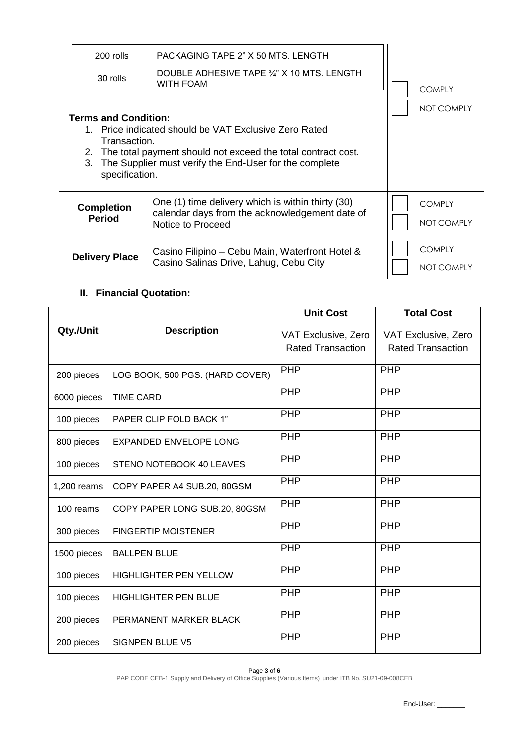| 200 rolls                                                                                                                                                                                                                                              | PACKAGING TAPE 2" X 50 MTS. LENGTH                                                                                       |                             |
|--------------------------------------------------------------------------------------------------------------------------------------------------------------------------------------------------------------------------------------------------------|--------------------------------------------------------------------------------------------------------------------------|-----------------------------|
| 30 rolls                                                                                                                                                                                                                                               | DOUBLE ADHESIVE TAPE 3/4" X 10 MTS. LENGTH<br><b>WITH FOAM</b>                                                           | <b>COMPLY</b>               |
| <b>Terms and Condition:</b><br>1. Price indicated should be VAT Exclusive Zero Rated<br>Transaction.<br>2. The total payment should not exceed the total contract cost.<br>3. The Supplier must verify the End-User for the complete<br>specification. | NOT COMPLY                                                                                                               |                             |
| <b>Completion</b><br><b>Period</b>                                                                                                                                                                                                                     | One (1) time delivery which is within thirty (30)<br>calendar days from the acknowledgement date of<br>Notice to Proceed | <b>COMPLY</b><br>NOT COMPLY |
| <b>Delivery Place</b>                                                                                                                                                                                                                                  | Casino Filipino - Cebu Main, Waterfront Hotel &<br>Casino Salinas Drive, Lahug, Cebu City                                | <b>COMPLY</b><br>NOT COMPLY |

# **II. Financial Quotation:**

|             |                                 | <b>Unit Cost</b>                                | <b>Total Cost</b>                               |
|-------------|---------------------------------|-------------------------------------------------|-------------------------------------------------|
| Qty./Unit   | <b>Description</b>              | VAT Exclusive, Zero<br><b>Rated Transaction</b> | VAT Exclusive, Zero<br><b>Rated Transaction</b> |
| 200 pieces  | LOG BOOK, 500 PGS. (HARD COVER) | <b>PHP</b>                                      | <b>PHP</b>                                      |
| 6000 pieces | <b>TIME CARD</b>                | <b>PHP</b>                                      | <b>PHP</b>                                      |
| 100 pieces  | PAPER CLIP FOLD BACK 1"         | <b>PHP</b>                                      | <b>PHP</b>                                      |
| 800 pieces  | <b>EXPANDED ENVELOPE LONG</b>   | <b>PHP</b>                                      | <b>PHP</b>                                      |
| 100 pieces  | STENO NOTEBOOK 40 LEAVES        | <b>PHP</b>                                      | <b>PHP</b>                                      |
| 1,200 reams | COPY PAPER A4 SUB.20, 80GSM     | <b>PHP</b>                                      | <b>PHP</b>                                      |
| 100 reams   | COPY PAPER LONG SUB.20, 80GSM   | <b>PHP</b>                                      | <b>PHP</b>                                      |
| 300 pieces  | <b>FINGERTIP MOISTENER</b>      | <b>PHP</b>                                      | <b>PHP</b>                                      |
| 1500 pieces | <b>BALLPEN BLUE</b>             | <b>PHP</b>                                      | <b>PHP</b>                                      |
| 100 pieces  | <b>HIGHLIGHTER PEN YELLOW</b>   | <b>PHP</b>                                      | <b>PHP</b>                                      |
| 100 pieces  | <b>HIGHLIGHTER PEN BLUE</b>     | <b>PHP</b>                                      | <b>PHP</b>                                      |
| 200 pieces  | PERMANENT MARKER BLACK          | <b>PHP</b>                                      | <b>PHP</b>                                      |
| 200 pieces  | <b>SIGNPEN BLUE V5</b>          | <b>PHP</b>                                      | <b>PHP</b>                                      |

Page **3** of **6** PAP CODE CEB-1 Supply and Delivery of Office Supplies (Various Items) under ITB No. SU21-09-008CEB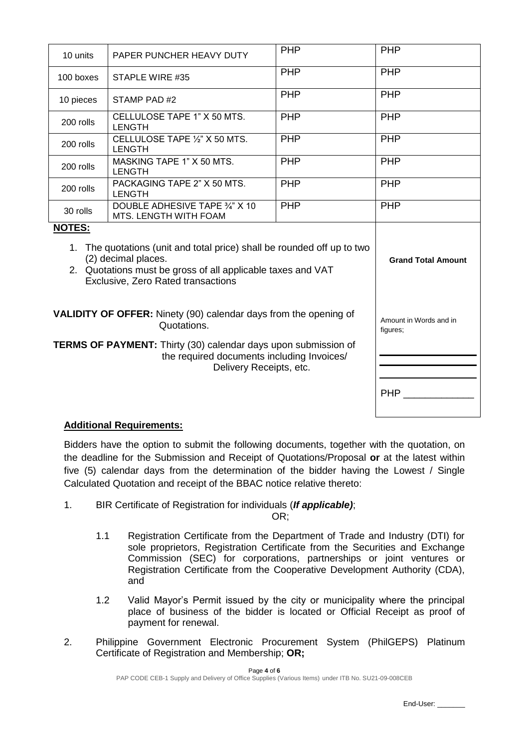| 10 units                                                                                                                                                                                                             | PAPER PUNCHER HEAVY DUTY                                | <b>PHP</b> | <b>PHP</b> |
|----------------------------------------------------------------------------------------------------------------------------------------------------------------------------------------------------------------------|---------------------------------------------------------|------------|------------|
| 100 boxes                                                                                                                                                                                                            | STAPLE WIRE #35                                         | <b>PHP</b> | PHP        |
| 10 pieces                                                                                                                                                                                                            | STAMP PAD#2                                             | PHP        | <b>PHP</b> |
| 200 rolls                                                                                                                                                                                                            | CELLULOSE TAPE 1" X 50 MTS.<br><b>LENGTH</b>            | <b>PHP</b> | PHP        |
| 200 rolls                                                                                                                                                                                                            | CELLULOSE TAPE 1/2" X 50 MTS.<br><b>LENGTH</b>          | <b>PHP</b> | PHP        |
| 200 rolls                                                                                                                                                                                                            | MASKING TAPE 1" X 50 MTS.<br><b>LENGTH</b>              | <b>PHP</b> | PHP        |
| 200 rolls                                                                                                                                                                                                            | PACKAGING TAPE 2" X 50 MTS.<br><b>LENGTH</b>            | PHP        | <b>PHP</b> |
| 30 rolls                                                                                                                                                                                                             | DOUBLE ADHESIVE TAPE 3/4" X 10<br>MTS. LENGTH WITH FOAM | <b>PHP</b> | PHP        |
| <b>NOTES:</b><br>1. The quotations (unit and total price) shall be rounded off up to two<br>(2) decimal places.<br>2. Quotations must be gross of all applicable taxes and VAT<br>Exclusive, Zero Rated transactions | <b>Grand Total Amount</b>                               |            |            |
| VALIDITY OF OFFER: Ninety (90) calendar days from the opening of                                                                                                                                                     | Amount in Words and in<br>figures;                      |            |            |
| <b>TERMS OF PAYMENT:</b> Thirty (30) calendar days upon submission of                                                                                                                                                | <b>PHP</b>                                              |            |            |
|                                                                                                                                                                                                                      |                                                         |            |            |

# **Additional Requirements:**

Bidders have the option to submit the following documents, together with the quotation, on the deadline for the Submission and Receipt of Quotations/Proposal **or** at the latest within five (5) calendar days from the determination of the bidder having the Lowest / Single Calculated Quotation and receipt of the BBAC notice relative thereto:

1. BIR Certificate of Registration for individuals (*If applicable)*;

OR;

- 1.1 Registration Certificate from the Department of Trade and Industry (DTI) for sole proprietors, Registration Certificate from the Securities and Exchange Commission (SEC) for corporations, partnerships or joint ventures or Registration Certificate from the Cooperative Development Authority (CDA), and
- 1.2 Valid Mayor's Permit issued by the city or municipality where the principal place of business of the bidder is located or Official Receipt as proof of payment for renewal.
- 2. Philippine Government Electronic Procurement System (PhilGEPS) Platinum Certificate of Registration and Membership; **OR;**

End-User: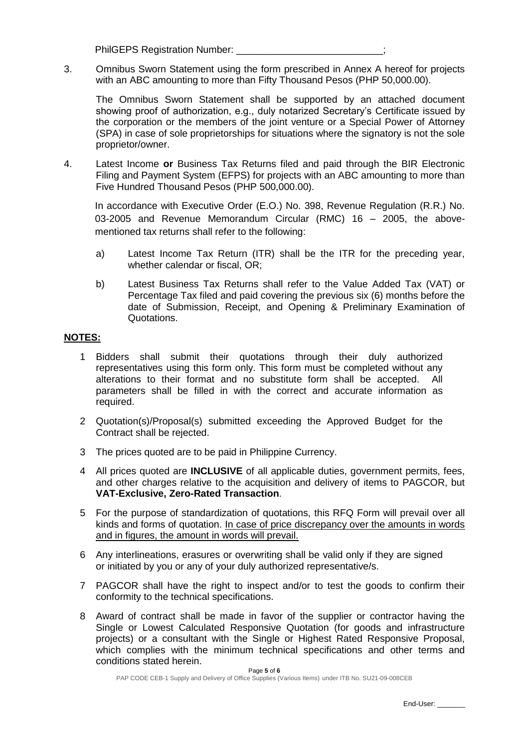PhilGEPS Registration Number:

3. Omnibus Sworn Statement using the form prescribed in Annex A hereof for projects with an ABC amounting to more than Fifty Thousand Pesos (PHP 50,000.00).

The Omnibus Sworn Statement shall be supported by an attached document showing proof of authorization, e.g., duly notarized Secretary's Certificate issued by the corporation or the members of the joint venture or a Special Power of Attorney (SPA) in case of sole proprietorships for situations where the signatory is not the sole proprietor/owner.

4. Latest Income **or** Business Tax Returns filed and paid through the BIR Electronic Filing and Payment System (EFPS) for projects with an ABC amounting to more than Five Hundred Thousand Pesos (PHP 500,000.00).

In accordance with Executive Order (E.O.) No. 398, Revenue Regulation (R.R.) No. 03-2005 and Revenue Memorandum Circular (RMC) 16 – 2005, the abovementioned tax returns shall refer to the following:

- a) Latest Income Tax Return (ITR) shall be the ITR for the preceding year, whether calendar or fiscal, OR;
- b) Latest Business Tax Returns shall refer to the Value Added Tax (VAT) or Percentage Tax filed and paid covering the previous six (6) months before the date of Submission, Receipt, and Opening & Preliminary Examination of **Quotations**

#### **NOTES:**

- 1 Bidders shall submit their quotations through their duly authorized representatives using this form only. This form must be completed without any alterations to their format and no substitute form shall be accepted. All parameters shall be filled in with the correct and accurate information as required.
- 2 Quotation(s)/Proposal(s) submitted exceeding the Approved Budget for the Contract shall be rejected.
- 3 The prices quoted are to be paid in Philippine Currency.
- 4 All prices quoted are **INCLUSIVE** of all applicable duties, government permits, fees, and other charges relative to the acquisition and delivery of items to PAGCOR, but **VAT-Exclusive, Zero-Rated Transaction**.
- 5 For the purpose of standardization of quotations, this RFQ Form will prevail over all kinds and forms of quotation. In case of price discrepancy over the amounts in words and in figures, the amount in words will prevail.
- 6 Any interlineations, erasures or overwriting shall be valid only if they are signed or initiated by you or any of your duly authorized representative/s.
- 7 PAGCOR shall have the right to inspect and/or to test the goods to confirm their conformity to the technical specifications.
- 8 Award of contract shall be made in favor of the supplier or contractor having the Single or Lowest Calculated Responsive Quotation (for goods and infrastructure projects) or a consultant with the Single or Highest Rated Responsive Proposal, which complies with the minimum technical specifications and other terms and conditions stated herein.